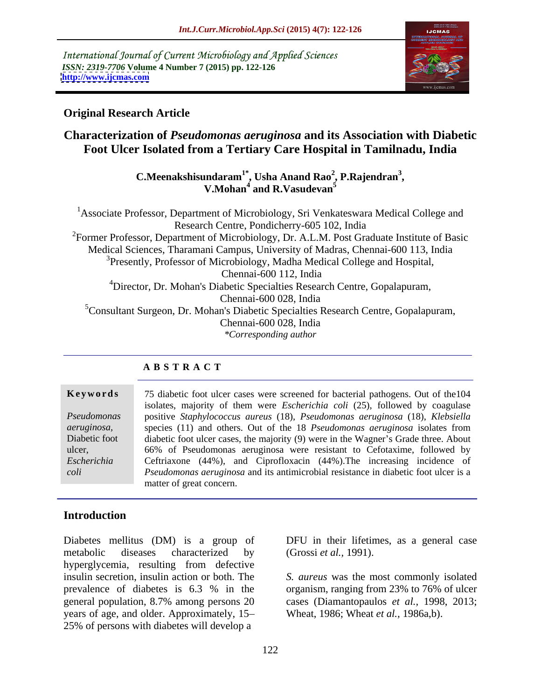International Journal of Current Microbiology and Applied Sciences *ISSN: 2319-7706* **Volume 4 Number 7 (2015) pp. 122-126 <http://www.ijcmas.com>**



### **Original Research Article**

# **Characterization of** *Pseudomonas aeruginosa* **and its Association with Diabetic Foot Ulcer Isolated from a Tertiary Care Hospital in Tamilnadu, India**

**C.Meenakshisundaram1\* , Usha Anand Rao<sup>2</sup> , V.Mohan4 and R.Vasudevan<sup>5</sup> , P.Rajendran<sup>3</sup>**

<sup>1</sup>Associate Professor, Department of Microbiology, Sri Venkateswara Medical College and Research Centre, Pondicherry-605 102, India  ${}^{2}$ Former Professor, Department of Microbiology, Dr. A.L.M. Post Graduate Institute of Basic Medical Sciences, Tharamani Campus, University of Madras, Chennai-600 113, India <sup>3</sup>Presently, Professor of Microbiology, Madha Medical College and Hospital, Chennai-600 112, India 4Director, Dr. Mohan's Diabetic Specialties Research Centre, Gopalapuram, Chennai-600 028, India 5Consultant Surgeon, Dr. Mohan's Diabetic Specialties Research Centre, Gopalapuram, Chennai-600 028, India *\*Corresponding author*

### **A B S T R A C T**

*aeruginosa, coli*

**Keywords** 75 diabetic foot ulcer cases were screened for bacterial pathogens. Out of the 104 isolates, majority of them were *Escherichia coli* (25), followed by coagulase positive *Staphylococcus aureus* (18), *Pseudomonas aeruginosa* (18), *Klebsiella Pseudomonas*  species (11) and others. Out of the 18 *Pseudomonas aeruginosa* isolates from Diabetic foot diabetic foot ulcer cases, the majority (9) were in the Wagner's Grade three. About 66% of Pseudomonas aeruginosa were resistant to Cefotaxime, followed by ulcer, Ceftriaxone (44%), and Ciprofloxacin (44%).The increasing incidence of *Escherichia Pseudomonas aeruginosa* and its antimicrobial resistance in diabetic foot ulcer is a matter of great concern.

## **Introduction**

Diabetes mellitus (DM) is a group of DFU in their lifetimes, as a general case metabolic diseases characterized by (Grossi *et al.*, 1991). hyperglycemia, resulting from defective insulin secretion, insulin action or both. The *S. aureus* was the most commonly isolated prevalence of diabetes is 6.3 % in the organism, ranging from 23% to 76% of ulcer general population, 8.7% among persons 20 cases (Diamantopaulos *et al.,* 1998, 2013; years of age, and older. Approximately, 15 25% of persons with diabetes will develop a

(Grossi *et al.,* 1991).

organism, ranging from 23% to 76% of ulcer Wheat, 1986; Wheat *et al.,* 1986a,b).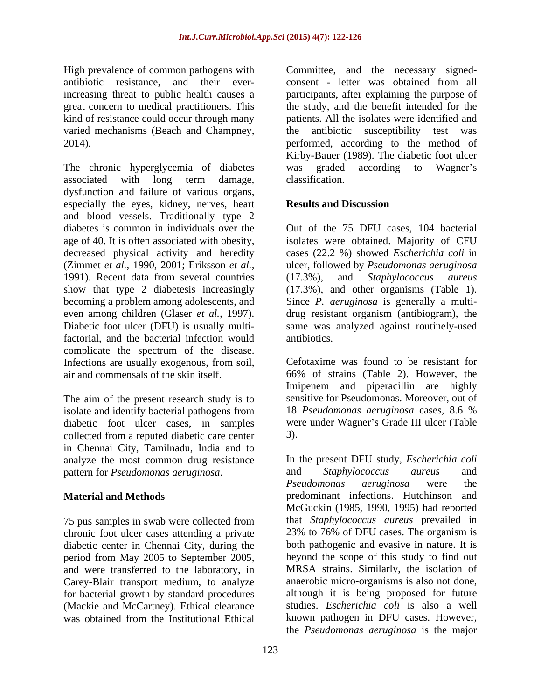varied mechanisms (Beach and Champney, the antibiotic susceptibility test was

The chronic hyperglycemia of diabetes was graded according to Wagner's associated with long term damage, dysfunction and failure of various organs, especially the eyes, kidney, nerves, heart **Results and Discussion** and blood vessels. Traditionally type 2 diabetes is common in individuals over the Out of the 75 DFU cases, 104 bacterial age of 40. It is often associated with obesity, isolates were obtained. Majority of CFU decreased physical activity and heredity cases (22.2 %) showed *Escherichia coli* in (Zimmet *et al.,* 1990, 2001; Eriksson *et al.,* ulcer, followed by *Pseudomonas aeruginosa* 1991). Recent data from several countries (17.3%), and Staphylococcus aureus show that type 2 diabetesis increasingly (17.3%), and other organisms (Table 1). becoming a problem among adolescents, and Since *P. aeruginosa* is generally a multi even among children (Glaser *et al.*, 1997). <br>Diabetic foot ulcer (DFU) is usually multi- same was analyzed against routinely-used factorial, and the bacterial infection would complicate the spectrum of the disease. Infections are usually exogenous, from soil, air and commensals of the skin itself. 66% of strains (Table 2). However, the

The aim of the present research study is to<br>
isolate and identify bacterial pathogens from<br>
The *Pseudomonas aeruginosa* cases, 8.6 % isolate and identify bacterial pathogens from diabetic foot ulcer cases, in samples collected from a reputed diabetic care center in Chennai City, Tamilnadu, India and to analyze the most common drug resistance pattern for *Pseudomonas aeruginosa*.

chronic foot ulcer cases attending a private period from May 2005 to September 2005, and were transferred to the laboratory, in Carey-Blair transport medium, to analyze

High prevalence of common pathogens with Committee, and the necessary signed antibiotic resistance, and their ever-consent - letter was obtained from all increasing threat to public health causes a participants, after explaining the purpose of great concern to medical practitioners. This the study, and the benefit intended for the kind of resistance could occur through many patients. All the isolates were identified and 2014). performed, according to the method of the antibiotic susceptibility test was Kirby-Bauer (1989). The diabetic foot ulcer was graded according to Wagner's classification.

# **Results and Discussion**

(17.3%), and *Staphylococcus aureus* drug resistant organism (antibiogram), the same was analyzed against routinely-used antibiotics.

Cefotaxime was found to be resistant for Imipenem and piperacillin are highly sensitive for Pseudomonas. Moreover, out of 18 *Pseudomonas aeruginosa* cases, 8.6 % were under Wagner's Grade III ulcer (Table 3).

**Material and Methods** predominant infections. Hutchinson and 75 pus samples in swab were collected from that *Staphylococcus aureus* prevailed in diabetic center in Chennai City, during the both pathogenic and evasive in nature. It is for bacterial growth by standard procedures although it is being proposed for future (Mackie and McCartney). Ethical clearance studies. *Escherichia coli* is also a well was obtained from the Institutional Ethical In the present DFU study, *Escherichia coli* and *Staphylococcus aureus* and *Pseudomonas aeruginosa* were the McGuckin (1985, 1990, 1995) had reported 23% to 76% of DFU cases. The organism is beyond the scope of this study to find out MRSA strains. Similarly, the isolation of anaerobic micro-organisms is also not done, known pathogen in DFU cases. However, the *Pseudomonas aeruginosa* is the major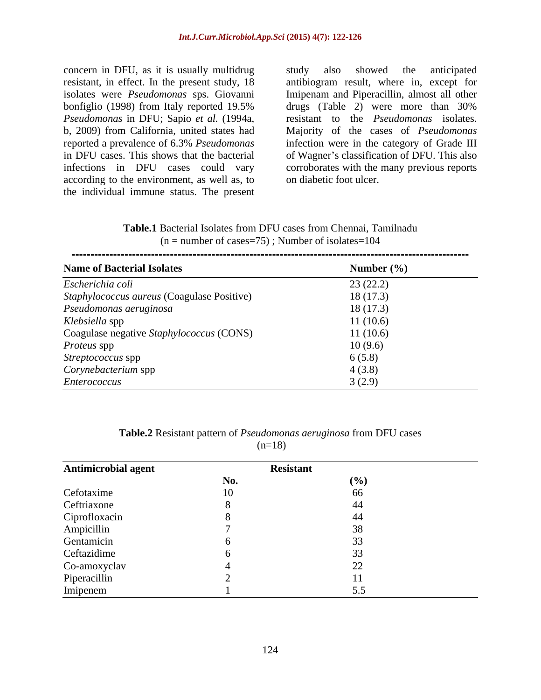concern in DFU, as it is usually multidrug study also showed the anticipated *Pseudomonas* in DFU; Sapio *et al.* (1994a, infections in DFU cases could vary according to the environment, as well as, to the individual immune status. The present

resistant, in effect. In the present study, 18 antibiogram result, where in, except for isolates were *Pseudomonas* sps. Giovanni Imipenam and Piperacillin, almost all other bonfiglio (1998) from Italy reported 19.5% b, 2009) from California, united states had Majority of the cases of *Pseudomonas*  reported a prevalence of 6.3% *Pseudomonas* infection were in the category of Grade III in DFU cases. This shows that the bacterial of Wagner's classification of DFU. This also study also showed the anticipated drugs (Table 2) were more than 30% resistant to the *Pseudomonas* isolates. corroborates with the many previous reports on diabetic foot ulcer.

**Table.1** Bacterial Isolates from DFU cases from Chennai, Tamilnadu  $(n =$  number of cases=75); Number of isolates=104

| <b>Name of Bacterial Isolates</b>          | Number $(\% )$ |
|--------------------------------------------|----------------|
| Escherichia coli                           | 23(22.2)       |
| Staphylococcus aureus (Coagulase Positive) | 18(17.3)       |
| Pseudomonas aeruginosa                     | 18(17.3)       |
| Klebsiella spp                             | 11(10.6)       |
| Coagulase negative Staphylococcus (CONS)   | 11(10.6)       |
| <i>Proteus</i> spp                         | 10(9.6)        |
| Streptococcus spp                          | 6(5.8)         |
| Corynebacterium spp                        | 4(3.8)         |
| Enterococcus                               | 3(2.9)         |

| m<br>. DF <sup>r</sup><br>T.<br>case.<br>able.<br>istant pattern of I<br>$\mathbf{1}\mathbf{1}\mathbf{0}$<br>trom<br>seudomonas<br>, aeruginosa<br>╯△◠<br>11 U |  |
|----------------------------------------------------------------------------------------------------------------------------------------------------------------|--|
| $18^{\circ}$<br>ູ<br>u n                                                                                                                                       |  |

| Antimicrobial agent | <b>Resistant</b> |       |
|---------------------|------------------|-------|
|                     | No.              | (0/2) |
| Cefotaxime          |                  |       |
| Ceftriaxone         |                  |       |
| Ciprofloxacin       |                  |       |
| Ampicillin          |                  |       |
| Gentamicin          |                  |       |
| Ceftazidime         |                  |       |
| Co-amoxyclav        |                  |       |
| Piperacillin        |                  |       |
| Imipenem            |                  |       |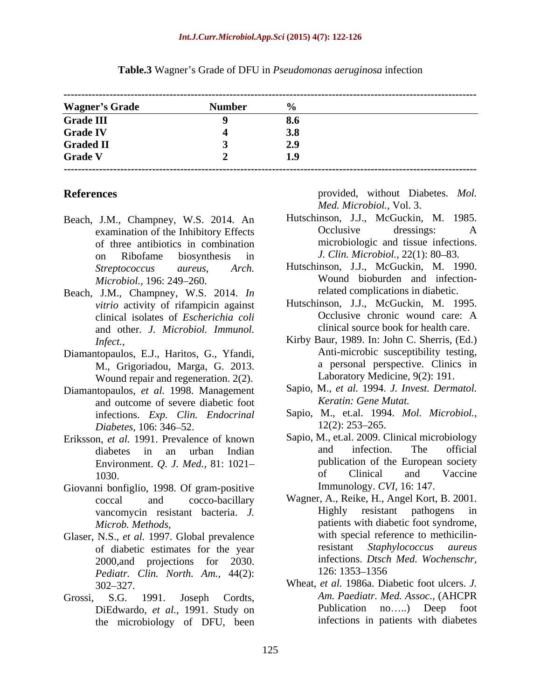| <b>Wagner's Grade</b><br>Number |            |
|---------------------------------|------------|
|                                 |            |
| <b>Grade III</b>                | 0.0        |
| <b>Grade IV</b>                 | <b>3.8</b> |
| <b>Graded II</b>                |            |
| <b>Grade V</b>                  |            |

### **Table.3** Wagner's Grade of DFU in *Pseudomonas aeruginosa* infection

- examination of the Inhibitory Effects of three antibiotics in combination on Ribofame biosynthesis in J. Clin. Microbiol., 22(1): 80–83.
- Beach, J.M., Champney, W.S. 2014. *In*  clinical isolates of *Escherichia coli* and other. *J. Microbiol. Immunol.*
- Diamantopaulos, E.J., Haritos, G., Yfandi, M., Grigoriadou, Marga, G. 2013. Wound repair and regeneration. 2(2).
- Diamantopaulos, *et al.* 1998. Management and outcome of severe diabetic foot
- 
- Giovanni bonfiglio, 1998. Of gram-positive
- of diabetic estimates for the year 2000, and projections for 2030. Infections *Dtsch*<br> *Pediatr* Clin North Am  $44(2)$ : 126: 1353–1356 *Pediatr. Clin. North. Am.,* 44(2):
- DiEdwardo, *et al.,* 1991. Study on the microbiology of DFU, been

**References** provided, without Diabetes. *Mol. Med. Microbiol.,* Vol. 3.

- Beach, J.M., Champney, W.S. 2014. An Hutschinson, J.J., McGuckin, M. 1985.<br>examination of the Inhibitory Effects Coclusive dressings: A Hutschinson, J.J., McGuckin, M. 1985. Occlusive dressings: A microbiologic and tissue infections. *J. Clin. Microbiol., 22(1): 80–83.* 
	- *Streptococcus aureus*, *Arch.*  Hutschinson, J.J., McGuckin, M. 1990. *Microbiol.,* 196: 249 260. Wound bioburden and infectionrelated complications in diabetic.
	- *vitrio* activity of rifampicin against<br>clinical isolates of *Escherichia coli*<br>Coclusive chronic wound care: A Hutschinson, J.J., McGuckin, M. 1995. Occlusive chronic wound care: A clinical source book for health care.
	- *Infect.,* Kirby Baur, 1989. In: John C. Sherris, (Ed.) Anti-microbic susceptibility testing, a personal perspective. Clinics in Laboratory Medicine, 9(2): 191.
		- Sapio, M., *et al.* 1994. *J. Invest. Dermatol. Keratin: Gene Mutat.*
	- infections. *Exp. Clin. Endocrinal* Sapio, M., et.al. 1994. *Mol. Microbiol., Diabetes,* 106: 346 52.  $12(2)$ : 253–265.
- Eriksson, *et al.* 1991. Prevalence of known<br>dishetes in an urban Indian and infection. The official diabetes in an urban Indian Environment. *Q. J. Med.*, 81: 1021–<br>1030 of Clinical and Vaccine 1030. **Clinical** and Vaccine Sapio, M., et.al. 2009. Clinical microbiology and infection. The official publication of the European society of Clinical and Vaccine Immunology. *CVI,* 16: 147.
- coccal and cocco-bacillary Wagner, A., Reike, H., Angel Kort, B. 2001. vancomycin resistant bacteria. *J.* Highly resistant pathogens in *Microb. Methods,* patients with diabetic foot syndrome, Glaser, N.S., *et al.* 1997. Global prevalence with special reference to methicilin-<br>of diabetic estimates for the year resistant *Staphylococcus aureus* Highly resistant pathogens in with special reference to methicilinresistant *Staphylococcus aureus* infections. *Dtsch Med. Wochenschr,* 126: 1353–1356
- 302 327. Wheat, *et al.* 1986a. Diabetic foot ulcers. *J.*  Grossi, S.G. 1991. Joseph Cordts, *Am. Paediatr. Med. Assoc.*, (AHCPR *Am. Paediatr. Med. Assoc.,* (AHCPR Publication no.....) Deep foot infections in patients with diabetes